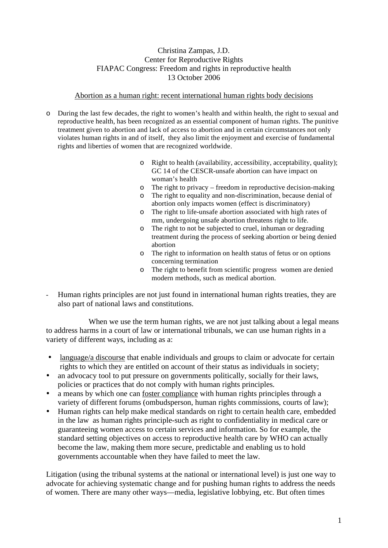## Christina Zampas, J.D. Center for Reproductive Rights FIAPAC Congress: Freedom and rights in reproductive health 13 October 2006

#### Abortion as a human right: recent international human rights body decisions

- o During the last few decades, the right to women's health and within health, the right to sexual and reproductive health, has been recognized as an essential component of human rights. The punitive treatment given to abortion and lack of access to abortion and in certain circumstances not only violates human rights in and of itself, they also limit the enjoyment and exercise of fundamental rights and liberties of women that are recognized worldwide.
	- o Right to health (availability, accessibility, acceptability, quality); GC 14 of the CESCR-unsafe abortion can have impact on woman's health
	- o The right to privacy freedom in reproductive decision-making
	- o The right to equality and non-discrimination, because denial of abortion only impacts women (effect is discriminatory)
	- o The right to life-unsafe abortion associated with high rates of mm, undergoing unsafe abortion threatens right to life.
	- o The right to not be subjected to cruel, inhuman or degrading treatment during the process of seeking abortion or being denied abortion
	- o The right to information on health status of fetus or on options concerning termination
	- o The right to benefit from scientific progress women are denied modern methods, such as medical abortion.
- Human rights principles are not just found in international human rights treaties, they are also part of national laws and constitutions.

When we use the term human rights, we are not just talking about a legal means to address harms in a court of law or international tribunals, we can use human rights in a variety of different ways, including as a:

- language/a discourse that enable individuals and groups to claim or advocate for certain rights to which they are entitled on account of their status as individuals in society;
- an advocacy tool to put pressure on governments politically, socially for their laws, policies or practices that do not comply with human rights principles.
- a means by which one can <u>foster compliance</u> with human rights principles through a variety of different forums (ombudsperson, human rights commissions, courts of law);
- Human rights can help make medical standards on right to certain health care, embedded in the law as human rights principle-such as right to confidentiality in medical care or guaranteeing women access to certain services and information. So for example, the standard setting objectives on access to reproductive health care by WHO can actually become the law, making them more secure, predictable and enabling us to hold governments accountable when they have failed to meet the law.

Litigation (using the tribunal systems at the national or international level) is just one way to advocate for achieving systematic change and for pushing human rights to address the needs of women. There are many other ways—media, legislative lobbying, etc. But often times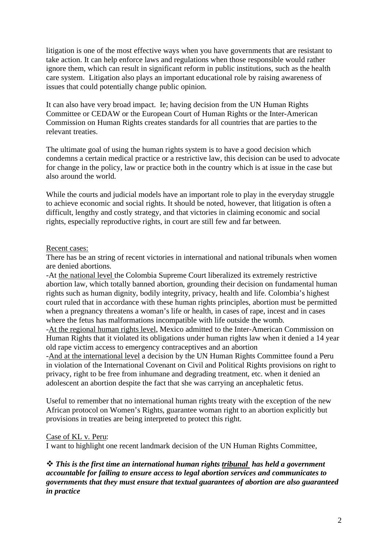litigation is one of the most effective ways when you have governments that are resistant to take action. It can help enforce laws and regulations when those responsible would rather ignore them, which can result in significant reform in public institutions, such as the health care system. Litigation also plays an important educational role by raising awareness of issues that could potentially change public opinion.

It can also have very broad impact. Ie; having decision from the UN Human Rights Committee or CEDAW or the European Court of Human Rights or the Inter-American Commission on Human Rights creates standards for all countries that are parties to the relevant treaties.

The ultimate goal of using the human rights system is to have a good decision which condemns a certain medical practice or a restrictive law, this decision can be used to advocate for change in the policy, law or practice both in the country which is at issue in the case but also around the world.

While the courts and judicial models have an important role to play in the everyday struggle to achieve economic and social rights. It should be noted, however, that litigation is often a difficult, lengthy and costly strategy, and that victories in claiming economic and social rights, especially reproductive rights, in court are still few and far between.

#### Recent cases:

There has be an string of recent victories in international and national tribunals when women are denied abortions.

-At the national level the Colombia Supreme Court liberalized its extremely restrictive abortion law, which totally banned abortion, grounding their decision on fundamental human rights such as human dignity, bodily integrity, privacy, health and life. Colombia's highest court ruled that in accordance with these human rights principles, abortion must be permitted when a pregnancy threatens a woman's life or health, in cases of rape, incest and in cases where the fetus has malformations incompatible with life outside the womb.

-At the regional human rights level, Mexico admitted to the Inter-American Commission on Human Rights that it violated its obligations under human rights law when it denied a 14 year old rape victim access to emergency contraceptives and an abortion

-And at the international level a decision by the UN Human Rights Committee found a Peru in violation of the International Covenant on Civil and Political Rights provisions on right to privacy, right to be free from inhumane and degrading treatment, etc. when it denied an adolescent an abortion despite the fact that she was carrying an ancephaletic fetus.

Useful to remember that no international human rights treaty with the exception of the new African protocol on Women's Rights, guarantee woman right to an abortion explicitly but provisions in treaties are being interpreted to protect this right.

## Case of KL v. Peru:

I want to highlight one recent landmark decision of the UN Human Rights Committee,

 *This is the first time an international human rights tribunal has held a government accountable for failing to ensure access to legal abortion services and communicates to governments that they must ensure that textual guarantees of abortion are also guaranteed in practice*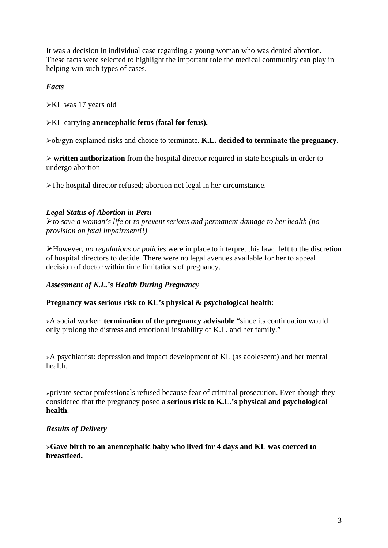It was a decision in individual case regarding a young woman who was denied abortion. These facts were selected to highlight the important role the medical community can play in helping win such types of cases.

# *Facts*

-KL was 17 years old

# -KL carrying **anencephalic fetus (fatal for fetus).**

-ob/gyn explained risks and choice to terminate. **K.L. decided to terminate the pregnancy**.

- **written authorization** from the hospital director required in state hospitals in order to undergo abortion

-The hospital director refused; abortion not legal in her circumstance.

## *Legal Status of Abortion in Peru*

-*to save a woman's life* or *to prevent serious and permanent damage to her health (no provision on fetal impairment!!)*

-However, *no regulations or policies* were in place to interpret this law; left to the discretion of hospital directors to decide. There were no legal avenues available for her to appeal decision of doctor within time limitations of pregnancy.

## *Assessment of K.L.'s Health During Pregnancy*

## **Pregnancy was serious risk to KL's physical & psychological health**:

-A social worker: **termination of the pregnancy advisable** "since its continuation would only prolong the distress and emotional instability of K.L. and her family."

-A psychiatrist: depression and impact development of KL (as adolescent) and her mental health.

-private sector professionals refused because fear of criminal prosecution. Even though they considered that the pregnancy posed a **serious risk to K.L.'s physical and psychological health**.

## *Results of Delivery*

-**Gave birth to an anencephalic baby who lived for 4 days and KL was coerced to breastfeed.**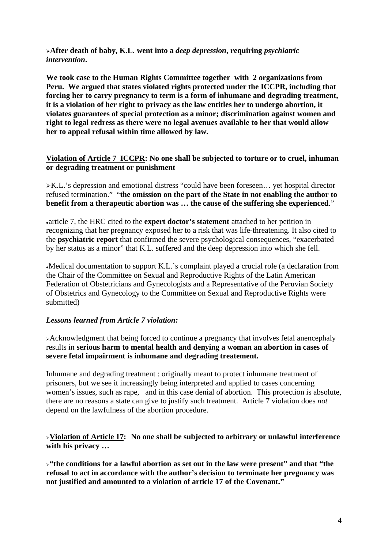**After death of baby, K.L. went into a** *deep depression***, requiring** *psychiatric intervention***.** 

**We took case to the Human Rights Committee together with 2 organizations from Peru. We argued that states violated rights protected under the ICCPR, including that forcing her to carry pregnancy to term is a form of inhumane and degrading treatment, it is a violation of her right to privacy as the law entitles her to undergo abortion, it violates guarantees of special protection as a minor; discrimination against women and right to legal redress as there were no legal avenues available to her that would allow her to appeal refusal within time allowed by law.** 

## **Violation of Article 7 ICCPR: No one shall be subjected to torture or to cruel, inhuman or degrading treatment or punishment**

K.L.'s depression and emotional distress "could have been foreseen… yet hospital director refused termination." "**the omission on the part of the State in not enabling the author to benefit from a therapeutic abortion was … the cause of the suffering she experienced**."

article 7, the HRC cited to the **expert doctor's statement** attached to her petition in recognizing that her pregnancy exposed her to a risk that was life-threatening. It also cited to the **psychiatric report** that confirmed the severe psychological consequences, "exacerbated by her status as a minor" that K.L. suffered and the deep depression into which she fell.

Medical documentation to support K.L.'s complaint played a crucial role (a declaration from the Chair of the Committee on Sexual and Reproductive Rights of the Latin American Federation of Obstetricians and Gynecologists and a Representative of the Peruvian Society of Obstetrics and Gynecology to the Committee on Sexual and Reproductive Rights were submitted)

## *Lessons learned from Article 7 violation:*

Acknowledgment that being forced to continue a pregnancy that involves fetal anencephaly results in **serious harm to mental health and denying a woman an abortion in cases of severe fetal impairment is inhumane and degrading treatement.** 

Inhumane and degrading treatment : originally meant to protect inhumane treatment of prisoners, but we see it increasingly being interpreted and applied to cases concerning women's issues, such as rape, and in this case denial of abortion. This protection is absolute, there are no reasons a state can give to justify such treatment. Article 7 violation does *not*  depend on the lawfulness of the abortion procedure.

**Violation of Article 17: No one shall be subjected to arbitrary or unlawful interference with his privacy …** 

**"the conditions for a lawful abortion as set out in the law were present" and that "the refusal to act in accordance with the author's decision to terminate her pregnancy was not justified and amounted to a violation of article 17 of the Covenant."**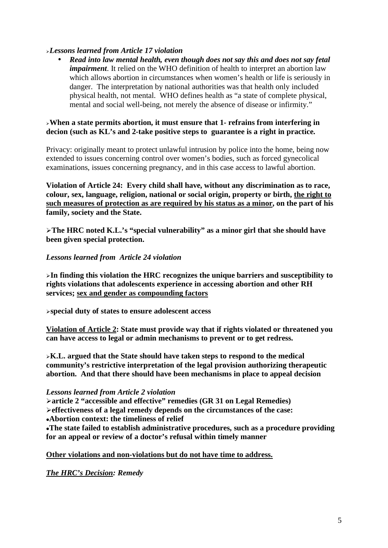## *Lessons learned from Article 17 violation*

• *Read into law mental health, even though does not say this and does not say fetal impairment*. It relied on the WHO definition of health to interpret an abortion law which allows abortion in circumstances when women's health or life is seriously in danger. The interpretation by national authorities was that health only included physical health, not mental. WHO defines health as "a state of complete physical, mental and social well-being, not merely the absence of disease or infirmity."

## **When a state permits abortion, it must ensure that 1- refrains from interfering in decion (such as KL's and 2-take positive steps to guarantee is a right in practice.**

Privacy: originally meant to protect unlawful intrusion by police into the home, being now extended to issues concerning control over women's bodies, such as forced gynecolical examinations, issues concerning pregnancy, and in this case access to lawful abortion.

**Violation of Article 24: Every child shall have, without any discrimination as to race, colour, sex, language, religion, national or social origin, property or birth, the right to such measures of protection as are required by his status as a minor, on the part of his family, society and the State.** 

**The HRC noted K.L.'s "special vulnerability" as a minor girl that she should have been given special protection.** 

#### *Lessons learned from Article 24 violation*

**In finding this violation the HRC recognizes the unique barriers and susceptibility to rights violations that adolescents experience in accessing abortion and other RH services; sex and gender as compounding factors**

**special duty of states to ensure adolescent access** 

**Violation of Article 2: State must provide way that if rights violated or threatened you can have access to legal or admin mechanisms to prevent or to get redress.** 

**K.L. argued that the State should have taken steps to respond to the medical community's restrictive interpretation of the legal provision authorizing therapeutic abortion. And that there should have been mechanisms in place to appeal decision** 

*Lessons learned from Article 2 violation* 

**article 2 "accessible and effective" remedies (GR 31 on Legal Remedies) effectiveness of a legal remedy depends on the circumstances of the case:** 

**Abortion context: the timeliness of relief** 

**The state failed to establish administrative procedures, such as a procedure providing for an appeal or review of a doctor's refusal within timely manner** 

#### **Other violations and non-violations but do not have time to address.**

*The HRC's Decision: Remedy*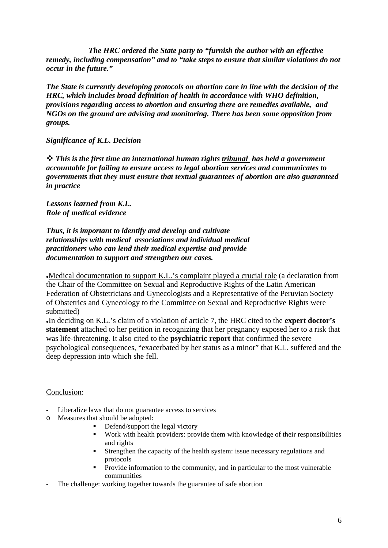*The HRC ordered the State party to "furnish the author with an effective remedy, including compensation" and to "take steps to ensure that similar violations do not occur in the future."* 

*The State is currently developing protocols on abortion care in line with the decision of the HRC, which includes broad definition of health in accordance with WHO definition, provisions regarding access to abortion and ensuring there are remedies available, and NGOs on the ground are advising and monitoring. There has been some opposition from groups.* 

#### *Significance of K.L. Decision*

 *This is the first time an international human rights tribunal has held a government accountable for failing to ensure access to legal abortion services and communicates to governments that they must ensure that textual guarantees of abortion are also guaranteed in practice* 

*Lessons learned from K.L. Role of medical evidence* 

*Thus, it is important to identify and develop and cultivate relationships with medical associations and individual medical practitioners who can lend their medical expertise and provide documentation to support and strengthen our cases.* 

Medical documentation to support K.L.'s complaint played a crucial role (a declaration from the Chair of the Committee on Sexual and Reproductive Rights of the Latin American Federation of Obstetricians and Gynecologists and a Representative of the Peruvian Society of Obstetrics and Gynecology to the Committee on Sexual and Reproductive Rights were submitted)

In deciding on K.L.'s claim of a violation of article 7, the HRC cited to the **expert doctor's statement** attached to her petition in recognizing that her pregnancy exposed her to a risk that was life-threatening. It also cited to the **psychiatric report** that confirmed the severe psychological consequences, "exacerbated by her status as a minor" that K.L. suffered and the deep depression into which she fell.

#### Conclusion:

- Liberalize laws that do not guarantee access to services
- o Measures that should be adopted:
	- -Defend/support the legal victory
	- - Work with health providers: provide them with knowledge of their responsibilities and rights
	- - Strengthen the capacity of the health system: issue necessary regulations and protocols
	- - Provide information to the community, and in particular to the most vulnerable communities
- The challenge: working together towards the guarantee of safe abortion